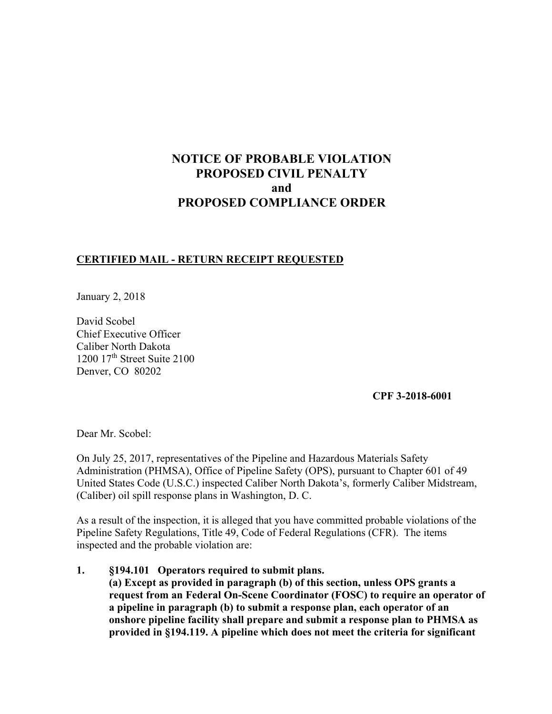# **NOTICE OF PROBABLE VIOLATION PROPOSED CIVIL PENALTY and PROPOSED COMPLIANCE ORDER**

### **CERTIFIED MAIL - RETURN RECEIPT REQUESTED**

January 2, 2018

David Scobel Chief Executive Officer Caliber North Dakota  $1200$   $17<sup>th</sup>$  Street Suite 2100 Denver, CO 80202

**CPF 3-2018-6001** 

Dear Mr. Scobel:

On July 25, 2017, representatives of the Pipeline and Hazardous Materials Safety Administration (PHMSA), Office of Pipeline Safety (OPS), pursuant to Chapter 601 of 49 United States Code (U.S.C.) inspected Caliber North Dakota's, formerly Caliber Midstream, (Caliber) oil spill response plans in Washington, D. C.

As a result of the inspection, it is alleged that you have committed probable violations of the Pipeline Safety Regulations, Title 49, Code of Federal Regulations (CFR). The items inspected and the probable violation are:

**1. §194.101 Operators required to submit plans. (a) Except as provided in paragraph (b) of this section, unless OPS grants a request from an Federal On-Scene Coordinator (FOSC) to require an operator of a pipeline in paragraph (b) to submit a response plan, each operator of an onshore pipeline facility shall prepare and submit a response plan to PHMSA as provided in §194.119. A pipeline which does not meet the criteria for significant**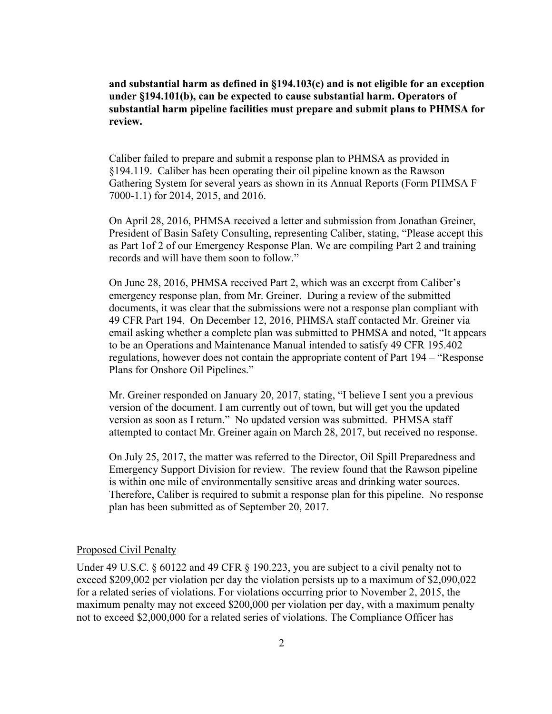**and substantial harm as defined in §194.103(c) and is not eligible for an exception under §194.101(b), can be expected to cause substantial harm. Operators of substantial harm pipeline facilities must prepare and submit plans to PHMSA for review.**

Caliber failed to prepare and submit a response plan to PHMSA as provided in §194.119. Caliber has been operating their oil pipeline known as the Rawson Gathering System for several years as shown in its Annual Reports (Form PHMSA F 7000-1.1) for 2014, 2015, and 2016.

On April 28, 2016, PHMSA received a letter and submission from Jonathan Greiner, President of Basin Safety Consulting, representing Caliber, stating, "Please accept this as Part 1of 2 of our Emergency Response Plan. We are compiling Part 2 and training records and will have them soon to follow."

On June 28, 2016, PHMSA received Part 2, which was an excerpt from Caliber's emergency response plan, from Mr. Greiner. During a review of the submitted documents, it was clear that the submissions were not a response plan compliant with 49 CFR Part 194. On December 12, 2016, PHMSA staff contacted Mr. Greiner via email asking whether a complete plan was submitted to PHMSA and noted, "It appears to be an Operations and Maintenance Manual intended to satisfy 49 CFR 195.402 regulations, however does not contain the appropriate content of Part 194 – "Response Plans for Onshore Oil Pipelines."

Mr. Greiner responded on January 20, 2017, stating, "I believe I sent you a previous version of the document. I am currently out of town, but will get you the updated version as soon as I return." No updated version was submitted. PHMSA staff attempted to contact Mr. Greiner again on March 28, 2017, but received no response.

On July 25, 2017, the matter was referred to the Director, Oil Spill Preparedness and Emergency Support Division for review. The review found that the Rawson pipeline is within one mile of environmentally sensitive areas and drinking water sources. Therefore, Caliber is required to submit a response plan for this pipeline. No response plan has been submitted as of September 20, 2017.

#### Proposed Civil Penalty

Under 49 U.S.C. § 60122 and 49 CFR § 190.223, you are subject to a civil penalty not to exceed \$209,002 per violation per day the violation persists up to a maximum of \$2,090,022 for a related series of violations. For violations occurring prior to November 2, 2015, the maximum penalty may not exceed \$200,000 per violation per day, with a maximum penalty not to exceed \$2,000,000 for a related series of violations. The Compliance Officer has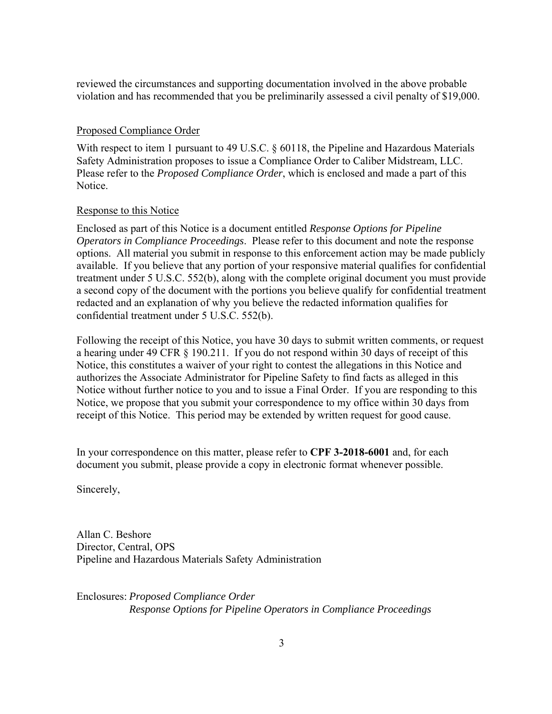reviewed the circumstances and supporting documentation involved in the above probable violation and has recommended that you be preliminarily assessed a civil penalty of \$19,000.

#### Proposed Compliance Order

With respect to item 1 pursuant to 49 U.S.C. § 60118, the Pipeline and Hazardous Materials Safety Administration proposes to issue a Compliance Order to Caliber Midstream, LLC. Please refer to the *Proposed Compliance Order*, which is enclosed and made a part of this Notice.

#### Response to this Notice

Enclosed as part of this Notice is a document entitled *Response Options for Pipeline Operators in Compliance Proceedings*. Please refer to this document and note the response options. All material you submit in response to this enforcement action may be made publicly available. If you believe that any portion of your responsive material qualifies for confidential treatment under 5 U.S.C. 552(b), along with the complete original document you must provide a second copy of the document with the portions you believe qualify for confidential treatment redacted and an explanation of why you believe the redacted information qualifies for confidential treatment under 5 U.S.C. 552(b).

Following the receipt of this Notice, you have 30 days to submit written comments, or request a hearing under 49 CFR § 190.211. If you do not respond within 30 days of receipt of this Notice, this constitutes a waiver of your right to contest the allegations in this Notice and authorizes the Associate Administrator for Pipeline Safety to find facts as alleged in this Notice without further notice to you and to issue a Final Order. If you are responding to this Notice, we propose that you submit your correspondence to my office within 30 days from receipt of this Notice. This period may be extended by written request for good cause.

In your correspondence on this matter, please refer to **CPF 3-2018-6001** and, for each document you submit, please provide a copy in electronic format whenever possible.

Sincerely,

Allan C. Beshore Director, Central, OPS Pipeline and Hazardous Materials Safety Administration

Enclosures: *Proposed Compliance Order Response Options for Pipeline Operators in Compliance Proceedings*